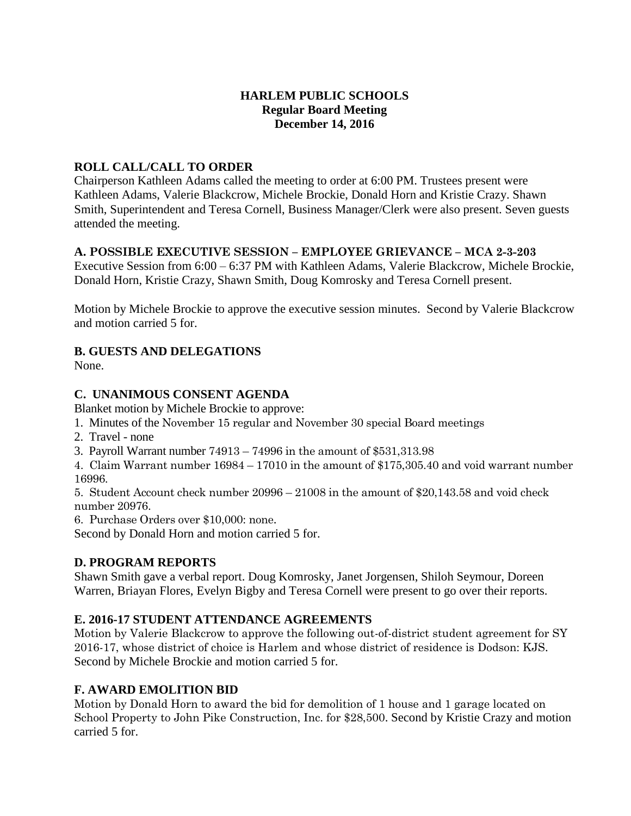## **HARLEM PUBLIC SCHOOLS Regular Board Meeting December 14, 2016**

## **ROLL CALL/CALL TO ORDER**

Chairperson Kathleen Adams called the meeting to order at 6:00 PM. Trustees present were Kathleen Adams, Valerie Blackcrow, Michele Brockie, Donald Horn and Kristie Crazy. Shawn Smith, Superintendent and Teresa Cornell, Business Manager/Clerk were also present. Seven guests attended the meeting.

## **A. POSSIBLE EXECUTIVE SESSION – EMPLOYEE GRIEVANCE – MCA 2-3-203**

Executive Session from 6:00 – 6:37 PM with Kathleen Adams, Valerie Blackcrow, Michele Brockie, Donald Horn, Kristie Crazy, Shawn Smith, Doug Komrosky and Teresa Cornell present.

Motion by Michele Brockie to approve the executive session minutes. Second by Valerie Blackcrow and motion carried 5 for.

# **B. GUESTS AND DELEGATIONS**

None.

## **C. UNANIMOUS CONSENT AGENDA**

Blanket motion by Michele Brockie to approve:

- 1. Minutes of the November 15 regular and November 30 special Board meetings
- 2. Travel none
- 3. Payroll Warrant number 74913 74996 in the amount of \$531,313.98

4. Claim Warrant number 16984 – 17010 in the amount of \$175,305.40 and void warrant number 16996.

5. Student Account check number 20996 – 21008 in the amount of \$20,143.58 and void check number 20976.

6. Purchase Orders over \$10,000: none.

Second by Donald Horn and motion carried 5 for.

### **D. PROGRAM REPORTS**

Shawn Smith gave a verbal report. Doug Komrosky, Janet Jorgensen, Shiloh Seymour, Doreen Warren, Briayan Flores, Evelyn Bigby and Teresa Cornell were present to go over their reports.

### **E. 2016-17 STUDENT ATTENDANCE AGREEMENTS**

Motion by Valerie Blackcrow to approve the following out-of-district student agreement for SY 2016-17, whose district of choice is Harlem and whose district of residence is Dodson: KJS. Second by Michele Brockie and motion carried 5 for.

# **F. AWARD EMOLITION BID**

Motion by Donald Horn to award the bid for demolition of 1 house and 1 garage located on School Property to John Pike Construction, Inc. for \$28,500. Second by Kristie Crazy and motion carried 5 for.